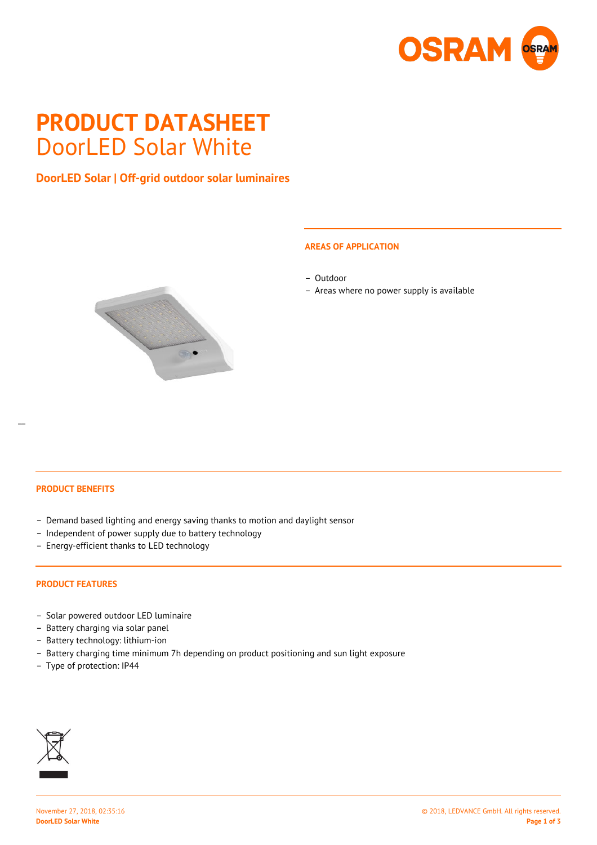

# **PRODUCT DATASHEET** DoorLED Solar White

# **DoorLED Solar | Off-grid outdoor solar luminaires**



#### **AREAS OF APPLICATION**

- Outdoor
- Areas where no power supply is available

 $\overline{a}$ 

#### **PRODUCT BENEFITS**

- Demand based lighting and energy saving thanks to motion and daylight sensor
- Independent of power supply due to battery technology
- Energy-efficient thanks to LED technology

#### **PRODUCT FEATURES**

- Solar powered outdoor LED luminaire
- Battery charging via solar panel
- Battery technology: lithium-ion
- Battery charging time minimum 7h depending on product positioning and sun light exposure
- Type of protection: IP44

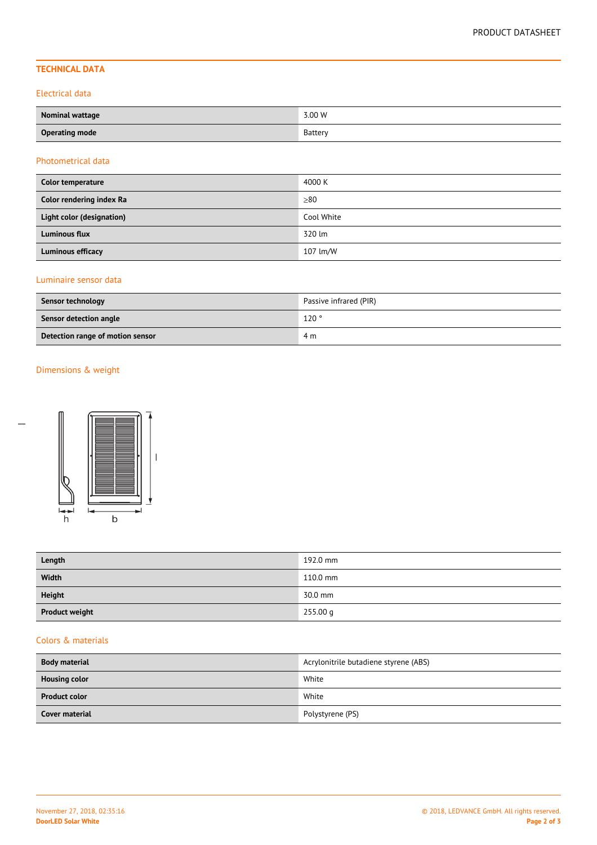# **TECHNICAL DATA**

#### Electrical data

| Nominal wattage       | 3.00 W  |
|-----------------------|---------|
| <b>Operating mode</b> | Battery |

#### Photometrical data

| Color temperature         | 4000 K     |
|---------------------------|------------|
| Color rendering index Ra  | >80        |
| Light color (designation) | Cool White |
| <b>Luminous flux</b>      | 320 lm     |
| <b>Luminous efficacy</b>  | 107 lm/W   |

# Luminaire sensor data

| Sensor technology                | Passive infrared (PIR) |  |
|----------------------------------|------------------------|--|
| Sensor detection angle           | 120°                   |  |
| Detection range of motion sensor | 4 m                    |  |

# Dimensions & weight



| Length                | 192.0 mm |
|-----------------------|----------|
| Width                 | 110.0 mm |
| <b>Height</b>         | 30.0 mm  |
| <b>Product weight</b> | 255.00 g |

### Colors & materials

| <b>Body material</b>  | Acrylonitrile butadiene styrene (ABS) |  |  |
|-----------------------|---------------------------------------|--|--|
| <b>Housing color</b>  | White                                 |  |  |
| <b>Product color</b>  | White                                 |  |  |
| <b>Cover material</b> | Polystyrene (PS)                      |  |  |